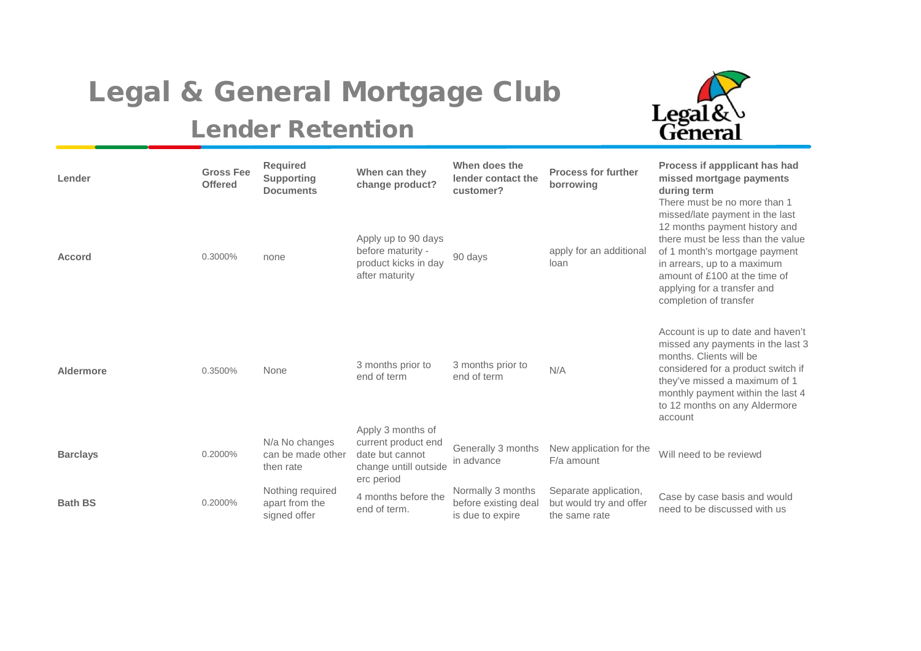## Legal & General Mortgage Club

## Lender Retention



| Lender          | <b>Gross Fee</b><br><b>Offered</b> | <b>Required</b><br><b>Supporting</b><br><b>Documents</b> | When can they<br>change product?                                                                   | When does the<br>lender contact the<br>customer?              | <b>Process for further</b><br>borrowing                           | Process if appplicant has had<br>missed mortgage payments<br>during term<br>There must be no more than 1                                                                                                                                                        |
|-----------------|------------------------------------|----------------------------------------------------------|----------------------------------------------------------------------------------------------------|---------------------------------------------------------------|-------------------------------------------------------------------|-----------------------------------------------------------------------------------------------------------------------------------------------------------------------------------------------------------------------------------------------------------------|
| <b>Accord</b>   | 0.3000%                            | none                                                     | Apply up to 90 days<br>before maturity -<br>product kicks in day<br>after maturity                 | 90 days                                                       | apply for an additional<br>loan                                   | missed/late payment in the last<br>12 months payment history and<br>there must be less than the value<br>of 1 month's mortgage payment<br>in arrears, up to a maximum<br>amount of £100 at the time of<br>applying for a transfer and<br>completion of transfer |
| Aldermore       | 0.3500%                            | None                                                     | 3 months prior to<br>end of term                                                                   | 3 months prior to<br>end of term                              | N/A                                                               | Account is up to date and haven't<br>missed any payments in the last 3<br>months. Clients will be<br>considered for a product switch if<br>they've missed a maximum of 1<br>monthly payment within the last 4<br>to 12 months on any Aldermore<br>account       |
| <b>Barclays</b> | 0.2000%                            | N/a No changes<br>can be made other<br>then rate         | Apply 3 months of<br>current product end<br>date but cannot<br>change untill outside<br>erc period | Generally 3 months<br>in advance                              | New application for the<br>F/a amount                             | Will need to be reviewd                                                                                                                                                                                                                                         |
| <b>Bath BS</b>  | 0.2000%                            | Nothing required<br>apart from the<br>signed offer       | 4 months before the<br>end of term.                                                                | Normally 3 months<br>before existing deal<br>is due to expire | Separate application,<br>but would try and offer<br>the same rate | Case by case basis and would<br>need to be discussed with us                                                                                                                                                                                                    |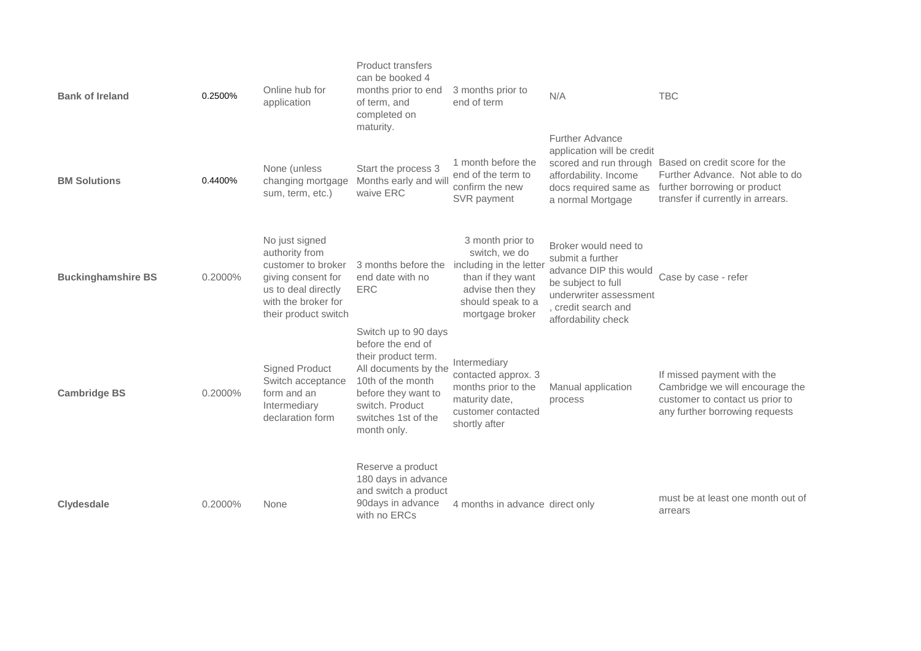| <b>Bank of Ireland</b>    | 0.2500% | Online hub for<br>application                                                                                                                      | <b>Product transfers</b><br>can be booked 4<br>months prior to end<br>of term, and<br>completed on<br>maturity.                                                                               | 3 months prior to<br>end of term                                                                                                              | N/A                                                                                                                                                              | <b>TBC</b>                                                                                                                                                   |
|---------------------------|---------|----------------------------------------------------------------------------------------------------------------------------------------------------|-----------------------------------------------------------------------------------------------------------------------------------------------------------------------------------------------|-----------------------------------------------------------------------------------------------------------------------------------------------|------------------------------------------------------------------------------------------------------------------------------------------------------------------|--------------------------------------------------------------------------------------------------------------------------------------------------------------|
| <b>BM Solutions</b>       | 0.4400% | None (unless<br>changing mortgage<br>sum, term, etc.)                                                                                              | Start the process 3<br>Months early and will<br>waive ERC                                                                                                                                     | 1 month before the<br>end of the term to<br>confirm the new<br>SVR payment                                                                    | <b>Further Advance</b><br>application will be credit<br>affordability. Income<br>docs required same as<br>a normal Mortgage                                      | scored and run through Based on credit score for the<br>Further Advance. Not able to do<br>further borrowing or product<br>transfer if currently in arrears. |
| <b>Buckinghamshire BS</b> | 0.2000% | No just signed<br>authority from<br>customer to broker<br>giving consent for<br>us to deal directly<br>with the broker for<br>their product switch | 3 months before the<br>end date with no<br><b>ERC</b>                                                                                                                                         | 3 month prior to<br>switch, we do<br>including in the letter<br>than if they want<br>advise then they<br>should speak to a<br>mortgage broker | Broker would need to<br>submit a further<br>advance DIP this would<br>be subject to full<br>underwriter assessment<br>, credit search and<br>affordability check | Case by case - refer                                                                                                                                         |
| <b>Cambridge BS</b>       | 0.2000% | Signed Product<br>Switch acceptance<br>form and an<br>Intermediary<br>declaration form                                                             | Switch up to 90 days<br>before the end of<br>their product term.<br>All documents by the<br>10th of the month<br>before they want to<br>switch. Product<br>switches 1st of the<br>month only. | Intermediary<br>contacted approx. 3<br>months prior to the<br>maturity date,<br>customer contacted<br>shortly after                           | Manual application<br>process                                                                                                                                    | If missed payment with the<br>Cambridge we will encourage the<br>customer to contact us prior to<br>any further borrowing requests                           |
| <b>Clydesdale</b>         | 0.2000% | <b>None</b>                                                                                                                                        | Reserve a product<br>180 days in advance<br>and switch a product<br>90days in advance<br>with no ERCs                                                                                         | 4 months in advance direct only                                                                                                               |                                                                                                                                                                  | must be at least one month out of<br>arrears                                                                                                                 |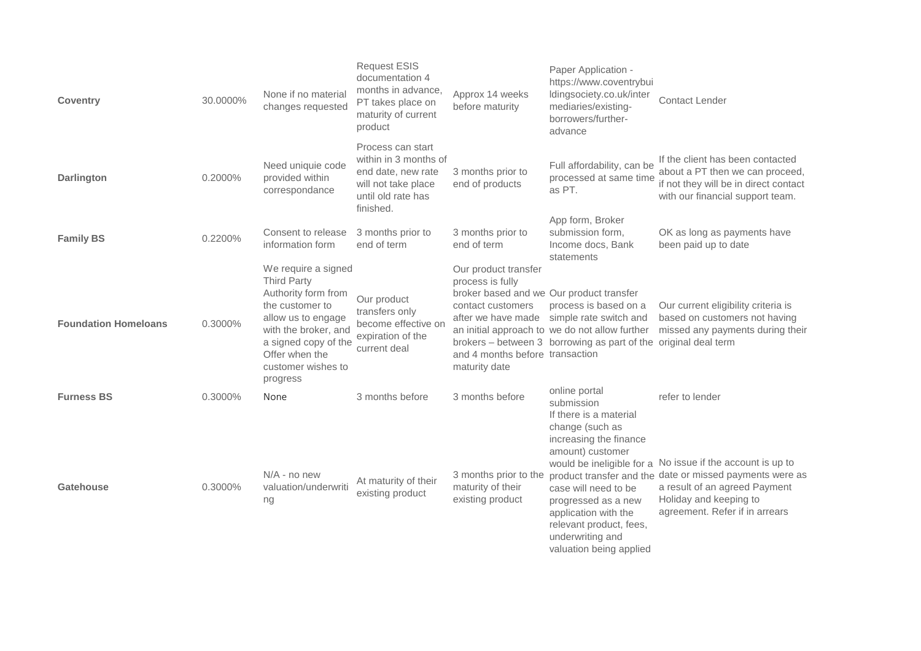| <b>Coventry</b>             | 30.0000% | None if no material<br>changes requested                                                                                                                                                                      | <b>Request ESIS</b><br>documentation 4<br>months in advance,<br>PT takes place on<br>maturity of current<br>product        | Approx 14 weeks<br>before maturity                                                                                                                            | Paper Application -<br>https://www.coventrybui<br>Idingsociety.co.uk/inter<br>mediaries/existing-<br>borrowers/further-<br>advance                                                      | <b>Contact Lender</b>                                                                                                                                                                                               |
|-----------------------------|----------|---------------------------------------------------------------------------------------------------------------------------------------------------------------------------------------------------------------|----------------------------------------------------------------------------------------------------------------------------|---------------------------------------------------------------------------------------------------------------------------------------------------------------|-----------------------------------------------------------------------------------------------------------------------------------------------------------------------------------------|---------------------------------------------------------------------------------------------------------------------------------------------------------------------------------------------------------------------|
| <b>Darlington</b>           | 0.2000%  | Need uniquie code<br>provided within<br>correspondance                                                                                                                                                        | Process can start<br>within in 3 months of<br>end date, new rate<br>will not take place<br>until old rate has<br>finished. | 3 months prior to<br>end of products                                                                                                                          | Full affordability, can be<br>processed at same time<br>as PT.                                                                                                                          | If the client has been contacted<br>about a PT then we can proceed,<br>if not they will be in direct contact<br>with our financial support team.                                                                    |
| <b>Family BS</b>            | 0.2200%  | Consent to release<br>information form                                                                                                                                                                        | 3 months prior to<br>end of term                                                                                           | 3 months prior to<br>end of term                                                                                                                              | App form, Broker<br>submission form,<br>Income docs, Bank<br>statements                                                                                                                 | OK as long as payments have<br>been paid up to date                                                                                                                                                                 |
| <b>Foundation Homeloans</b> | 0.3000%  | We require a signed<br><b>Third Party</b><br>Authority form from<br>the customer to<br>allow us to engage<br>with the broker, and<br>a signed copy of the<br>Offer when the<br>customer wishes to<br>progress | Our product<br>transfers only<br>become effective on<br>expiration of the<br>current deal                                  | Our product transfer<br>process is fully<br>broker based and we Our product transfer<br>contact customers<br>and 4 months before transaction<br>maturity date | process is based on a<br>after we have made simple rate switch and<br>an initial approach to we do not allow further<br>brokers - between 3 borrowing as part of the original deal term | Our current eligibility criteria is<br>based on customers not having<br>missed any payments during their                                                                                                            |
| <b>Furness BS</b>           | 0.3000%  | None                                                                                                                                                                                                          | 3 months before                                                                                                            | 3 months before                                                                                                                                               | online portal<br>submission<br>If there is a material<br>change (such as<br>increasing the finance<br>amount) customer                                                                  | refer to lender                                                                                                                                                                                                     |
| <b>Gatehouse</b>            | 0.3000%  | $N/A$ - no new<br>valuation/underwriti<br>ng                                                                                                                                                                  | At maturity of their<br>existing product                                                                                   | 3 months prior to the<br>maturity of their<br>existing product                                                                                                | case will need to be<br>progressed as a new<br>application with the<br>relevant product, fees,<br>underwriting and<br>valuation being applied                                           | would be ineligible for a No issue if the account is up to<br>product transfer and the date or missed payments were as<br>a result of an agreed Payment<br>Holiday and keeping to<br>agreement. Refer if in arrears |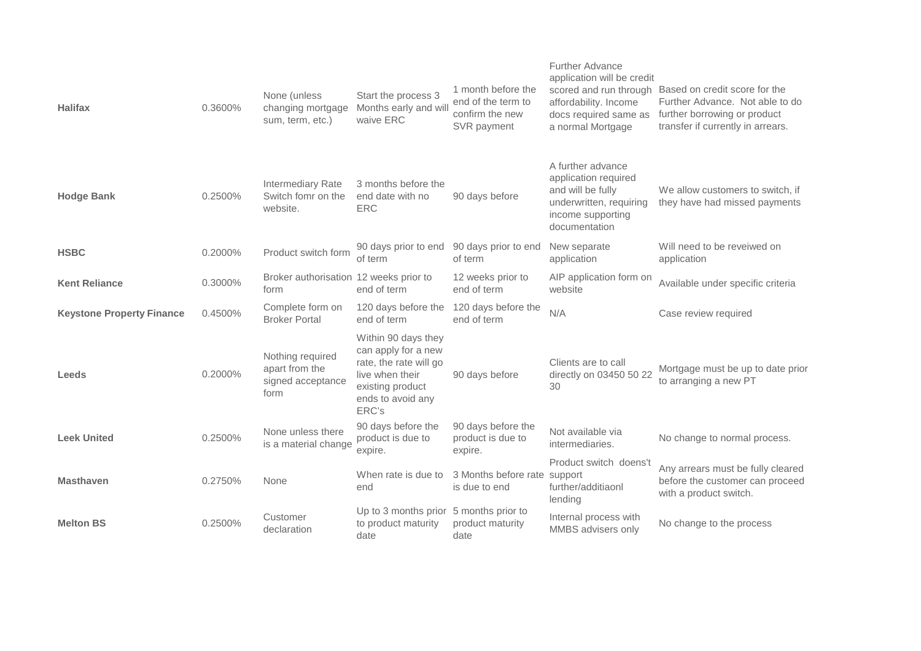| <b>Halifax</b>                   | 0.3600% | None (unless<br>changing mortgage<br>sum, term, etc.)           | Start the process 3<br>Months early and will<br>waive ERC                                                                                 | 1 month before the<br>end of the term to<br>confirm the new<br>SVR payment | <b>Further Advance</b><br>application will be credit<br>scored and run through<br>affordability. Income<br>docs required same as<br>a normal Mortgage | Based on credit score for the<br>Further Advance. Not able to do<br>further borrowing or product<br>transfer if currently in arrears. |
|----------------------------------|---------|-----------------------------------------------------------------|-------------------------------------------------------------------------------------------------------------------------------------------|----------------------------------------------------------------------------|-------------------------------------------------------------------------------------------------------------------------------------------------------|---------------------------------------------------------------------------------------------------------------------------------------|
| <b>Hodge Bank</b>                | 0.2500% | Intermediary Rate<br>Switch fomr on the<br>website.             | 3 months before the<br>end date with no<br><b>ERC</b>                                                                                     | 90 days before                                                             | A further advance<br>application required<br>and will be fully<br>underwritten, requiring<br>income supporting<br>documentation                       | We allow customers to switch, if<br>they have had missed payments                                                                     |
| <b>HSBC</b>                      | 0.2000% | Product switch form                                             | 90 days prior to end 90 days prior to end<br>of term                                                                                      | of term                                                                    | New separate<br>application                                                                                                                           | Will need to be reveiwed on<br>application                                                                                            |
| <b>Kent Reliance</b>             | 0.3000% | Broker authorisation 12 weeks prior to<br>form                  | end of term                                                                                                                               | 12 weeks prior to<br>end of term                                           | AIP application form on<br>website                                                                                                                    | Available under specific criteria                                                                                                     |
| <b>Keystone Property Finance</b> | 0.4500% | Complete form on<br><b>Broker Portal</b>                        | 120 days before the<br>end of term                                                                                                        | 120 days before the<br>end of term                                         | N/A                                                                                                                                                   | Case review required                                                                                                                  |
| Leeds                            | 0.2000% | Nothing required<br>apart from the<br>signed acceptance<br>form | Within 90 days they<br>can apply for a new<br>rate, the rate will go<br>live when their<br>existing product<br>ends to avoid any<br>ERC's | 90 days before                                                             | Clients are to call<br>directly on 03450 50 22<br>30                                                                                                  | Mortgage must be up to date prior<br>to arranging a new PT                                                                            |
| <b>Leek United</b>               | 0.2500% | None unless there<br>is a material change                       | 90 days before the<br>product is due to<br>expire.                                                                                        | 90 days before the<br>product is due to<br>expire.                         | Not available via<br>intermediaries.                                                                                                                  | No change to normal process.                                                                                                          |
| <b>Masthaven</b>                 | 0.2750% | None                                                            | When rate is due to<br>end                                                                                                                | 3 Months before rate support<br>is due to end                              | Product switch doens't<br>further/additiaonl<br>lending                                                                                               | Any arrears must be fully cleared<br>before the customer can proceed<br>with a product switch.                                        |
| <b>Melton BS</b>                 | 0.2500% | Customer<br>declaration                                         | Up to 3 months prior 5 months prior to<br>to product maturity<br>date                                                                     | product maturity<br>date                                                   | Internal process with<br>MMBS advisers only                                                                                                           | No change to the process                                                                                                              |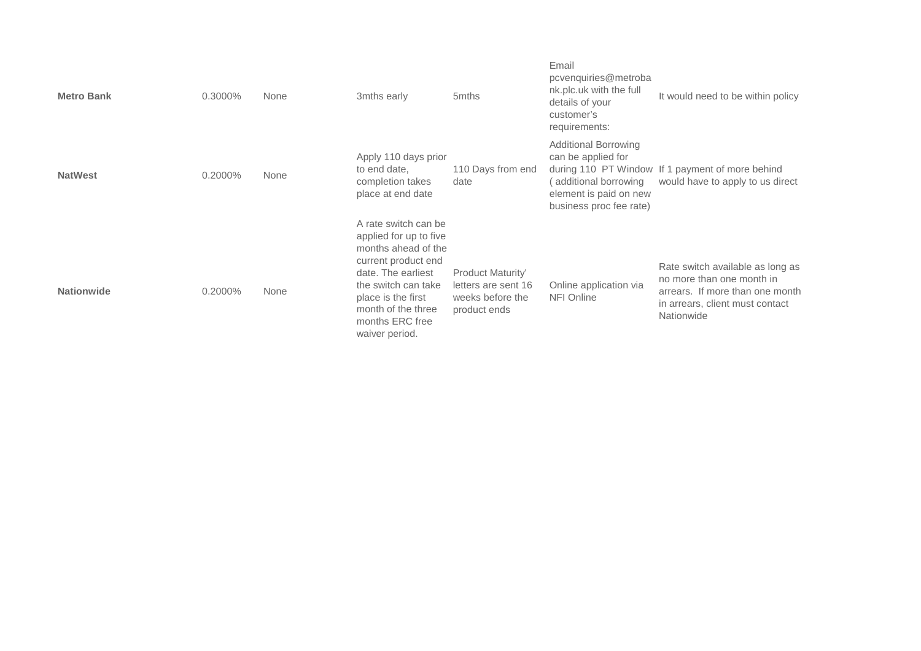| <b>Metro Bank</b> | 0.3000% | None | 3mths early                                                                                                                                                                                                                | 5mths                                                                               | Email<br>pcvenquiries@metroba<br>nk.plc.uk with the full<br>details of your<br>customer's<br>requirements:                     | It would need to be within policy                                                                                                                 |
|-------------------|---------|------|----------------------------------------------------------------------------------------------------------------------------------------------------------------------------------------------------------------------------|-------------------------------------------------------------------------------------|--------------------------------------------------------------------------------------------------------------------------------|---------------------------------------------------------------------------------------------------------------------------------------------------|
| <b>NatWest</b>    | 0.2000% | None | Apply 110 days prior<br>to end date,<br>completion takes<br>place at end date                                                                                                                                              | 110 Days from end<br>date                                                           | <b>Additional Borrowing</b><br>can be applied for<br>additional borrowing<br>element is paid on new<br>business proc fee rate) | during 110 PT Window If 1 payment of more behind<br>would have to apply to us direct                                                              |
| <b>Nationwide</b> | 0.2000% | None | A rate switch can be<br>applied for up to five<br>months ahead of the<br>current product end<br>date. The earliest<br>the switch can take<br>place is the first<br>month of the three<br>months ERC free<br>waiver period. | <b>Product Maturity'</b><br>letters are sent 16<br>weeks before the<br>product ends | Online application via<br>NFI Online                                                                                           | Rate switch available as long as<br>no more than one month in<br>arrears. If more than one month<br>in arrears, client must contact<br>Nationwide |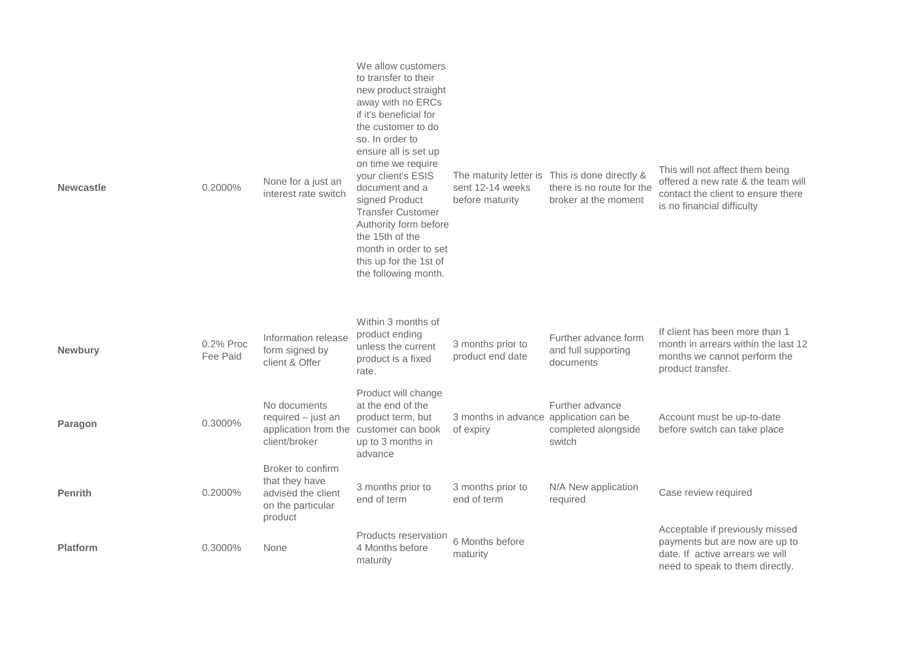| <b>Newcastle</b> | 0.2000%               | None for a just an<br>interest rate switch                                                      | We allow customers<br>to transfer to their<br>new product straight<br>away with no ERCs<br>if it's beneficial for<br>the customer to do<br>so. In order to<br>ensure all is set up<br>on time we require<br>your client's ESIS<br>document and a<br>signed Product<br><b>Transfer Customer</b><br>Authority form before<br>the 15th of the<br>month in order to set<br>this up for the 1st of<br>the following month. | sent 12-14 weeks<br>before maturity   | The maturity letter is This is done directly &<br>there is no route for the<br>broker at the moment | This will not affect them being<br>offered a new rate & the team will<br>contact the client to ensure there<br>is no financial difficulty |
|------------------|-----------------------|-------------------------------------------------------------------------------------------------|-----------------------------------------------------------------------------------------------------------------------------------------------------------------------------------------------------------------------------------------------------------------------------------------------------------------------------------------------------------------------------------------------------------------------|---------------------------------------|-----------------------------------------------------------------------------------------------------|-------------------------------------------------------------------------------------------------------------------------------------------|
| Newbury          | 0.2% Proc<br>Fee Paid | Information release<br>form signed by<br>client & Offer                                         | Within 3 months of<br>product ending<br>unless the current<br>product is a fixed<br>rate.                                                                                                                                                                                                                                                                                                                             | 3 months prior to<br>product end date | Further advance form<br>and full supporting<br>documents                                            | If client has been more than 1<br>month in arrears within the last 12<br>months we cannot perform the<br>product transfer.                |
| Paragon          | 0.3000%               | No documents<br>$required - just an$<br>application from the customer can book<br>client/broker | Product will change<br>at the end of the<br>product term, but<br>up to 3 months in<br>advance                                                                                                                                                                                                                                                                                                                         | 3 months in advance<br>of expiry      | Further advance<br>application can be<br>completed alongside<br>switch                              | Account must be up-to-date<br>before switch can take place                                                                                |
| <b>Penrith</b>   | 0.2000%               | Broker to confirm<br>that they have<br>advised the client<br>on the particular<br>product       | 3 months prior to<br>end of term                                                                                                                                                                                                                                                                                                                                                                                      | 3 months prior to<br>end of term      | N/A New application<br>required                                                                     | Case review required                                                                                                                      |
| <b>Platform</b>  | 0.3000%               | None                                                                                            | Products reservation<br>4 Months before<br>maturity                                                                                                                                                                                                                                                                                                                                                                   | 6 Months before<br>maturity           |                                                                                                     | Acceptable if previously missed<br>payments but are now are up to<br>date. If active arrears we will<br>need to speak to them directly.   |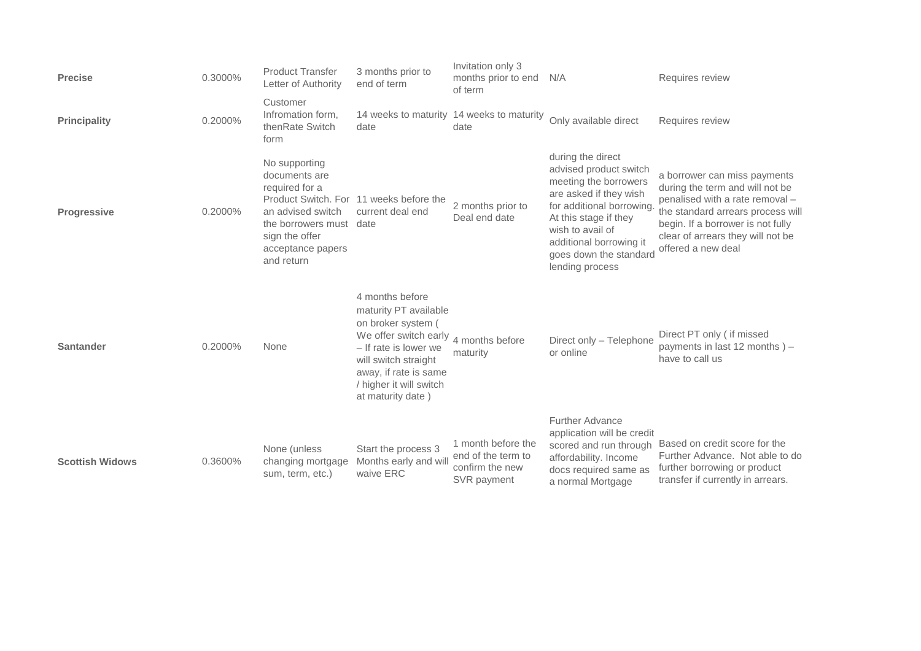| <b>Precise</b>         | 0.3000% | <b>Product Transfer</b><br>Letter of Authority                                                                                                   | 3 months prior to<br>end of term                                                                                                                                                                                  | Invitation only 3<br>months prior to end<br>of term                        | N/A                                                                                                                                                                                                                                              | Requires review                                                                                                                                                                                                                         |
|------------------------|---------|--------------------------------------------------------------------------------------------------------------------------------------------------|-------------------------------------------------------------------------------------------------------------------------------------------------------------------------------------------------------------------|----------------------------------------------------------------------------|--------------------------------------------------------------------------------------------------------------------------------------------------------------------------------------------------------------------------------------------------|-----------------------------------------------------------------------------------------------------------------------------------------------------------------------------------------------------------------------------------------|
| <b>Principality</b>    | 0.2000% | Customer<br>Infromation form,<br>thenRate Switch<br>form                                                                                         | date                                                                                                                                                                                                              | 14 weeks to maturity 14 weeks to maturity<br>date                          | Only available direct                                                                                                                                                                                                                            | Requires review                                                                                                                                                                                                                         |
| <b>Progressive</b>     | 0.2000% | No supporting<br>documents are<br>required for a<br>an advised switch<br>the borrowers must<br>sign the offer<br>acceptance papers<br>and return | Product Switch. For 11 weeks before the<br>current deal end<br>date                                                                                                                                               | 2 months prior to<br>Deal end date                                         | during the direct<br>advised product switch<br>meeting the borrowers<br>are asked if they wish<br>for additional borrowing.<br>At this stage if they<br>wish to avail of<br>additional borrowing it<br>goes down the standard<br>lending process | a borrower can miss payments<br>during the term and will not be<br>penalised with a rate removal -<br>the standard arrears process will<br>begin. If a borrower is not fully<br>clear of arrears they will not be<br>offered a new deal |
| <b>Santander</b>       | 0.2000% | None                                                                                                                                             | 4 months before<br>maturity PT available<br>on broker system (<br>We offer switch early<br>- If rate is lower we<br>will switch straight<br>away, if rate is same<br>/ higher it will switch<br>at maturity date) | 4 months before<br>maturity                                                | Direct only - Telephone<br>or online                                                                                                                                                                                                             | Direct PT only ( if missed<br>payments in last 12 months) -<br>have to call us                                                                                                                                                          |
| <b>Scottish Widows</b> | 0.3600% | None (unless<br>changing mortgage<br>sum, term, etc.)                                                                                            | Start the process 3<br>Months early and will<br>waive ERC                                                                                                                                                         | 1 month before the<br>end of the term to<br>confirm the new<br>SVR payment | <b>Further Advance</b><br>application will be credit<br>scored and run through<br>affordability. Income<br>docs required same as<br>a normal Mortgage                                                                                            | Based on credit score for the<br>Further Advance. Not able to do<br>further borrowing or product<br>transfer if currently in arrears.                                                                                                   |